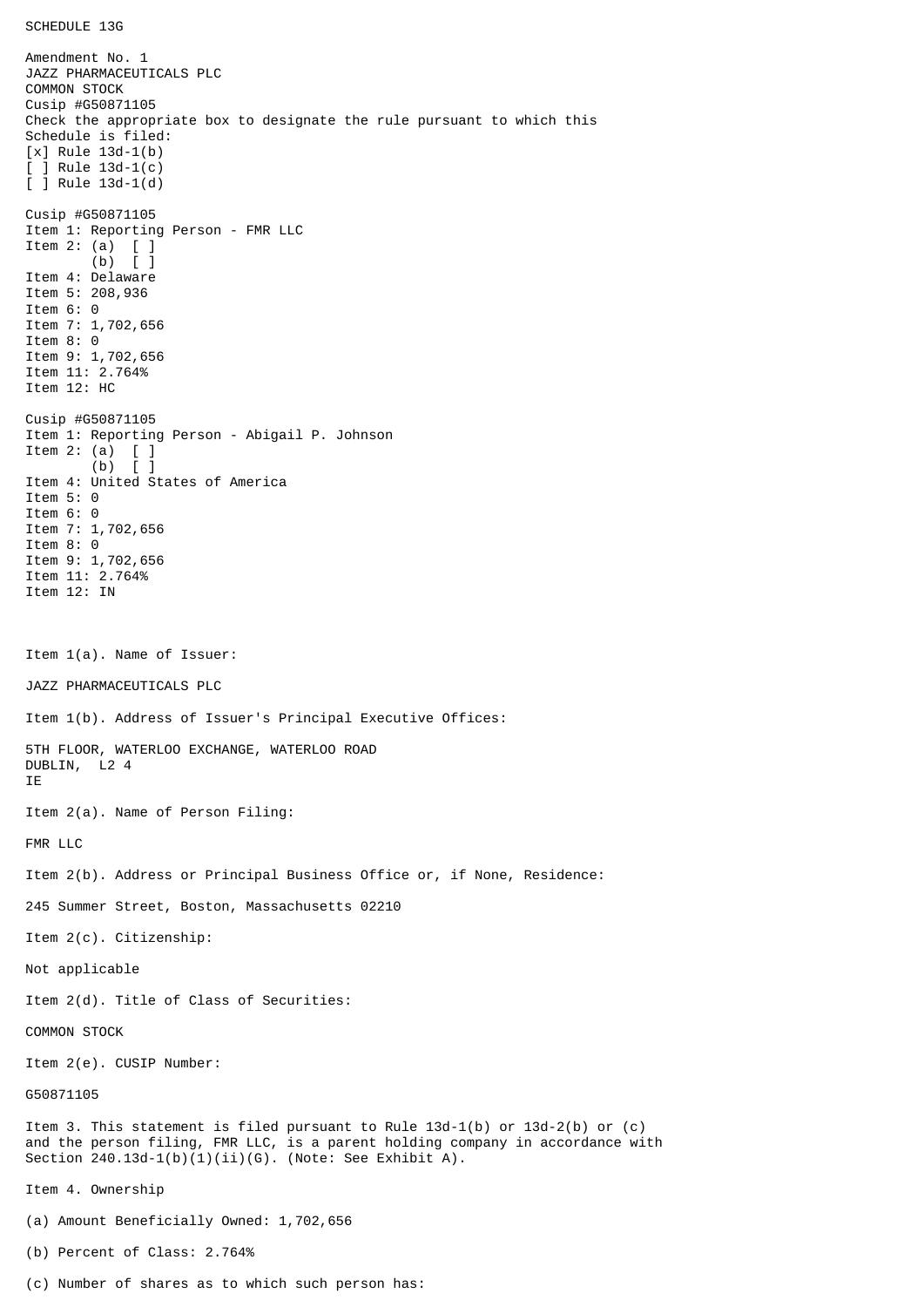SCHEDULE 13G

Amendment No. 1 JAZZ PHARMACEUTICALS PLC COMMON STOCK Cusip #G50871105 Check the appropriate box to designate the rule pursuant to which this Schedule is filed: [x] Rule 13d-1(b) [ ] Rule 13d-1(c) [ ] Rule 13d-1(d) Cusip #G50871105 Item 1: Reporting Person - FMR LLC Item 2: (a) [ ] (b) [ ] Item 4: Delaware Item 5: 208,936 Item 6: 0 Item 7: 1,702,656 Item 8: 0 Item 9: 1,702,656 Item 11: 2.764% Item 12: HC Cusip #G50871105 Item 1: Reporting Person - Abigail P. Johnson Item 2: (a)  $[$  ]<br>(b)  $[$  ]  $(b)$ Item 4: United States of America Item 5: 0 Item 6: 0 Item 7: 1,702,656 Item 8: 0 Item 9: 1,702,656 Item 11: 2.764% Item 12: IN Item 1(a). Name of Issuer: JAZZ PHARMACEUTICALS PLC Item 1(b). Address of Issuer's Principal Executive Offices: 5TH FLOOR, WATERLOO EXCHANGE, WATERLOO ROAD DUBLIN, L2 4 IE Item 2(a). Name of Person Filing: FMR LLC Item 2(b). Address or Principal Business Office or, if None, Residence: 245 Summer Street, Boston, Massachusetts 02210 Item 2(c). Citizenship: Not applicable Item 2(d). Title of Class of Securities: COMMON STOCK Item 2(e). CUSIP Number: G50871105 Item 3. This statement is filed pursuant to Rule 13d-1(b) or 13d-2(b) or (c) and the person filing, FMR LLC, is a parent holding company in accordance with Section  $240.13d-1(b)(1)(ii)(G)$ . (Note: See Exhibit A). Item 4. Ownership (a) Amount Beneficially Owned: 1,702,656 (b) Percent of Class: 2.764%

(c) Number of shares as to which such person has: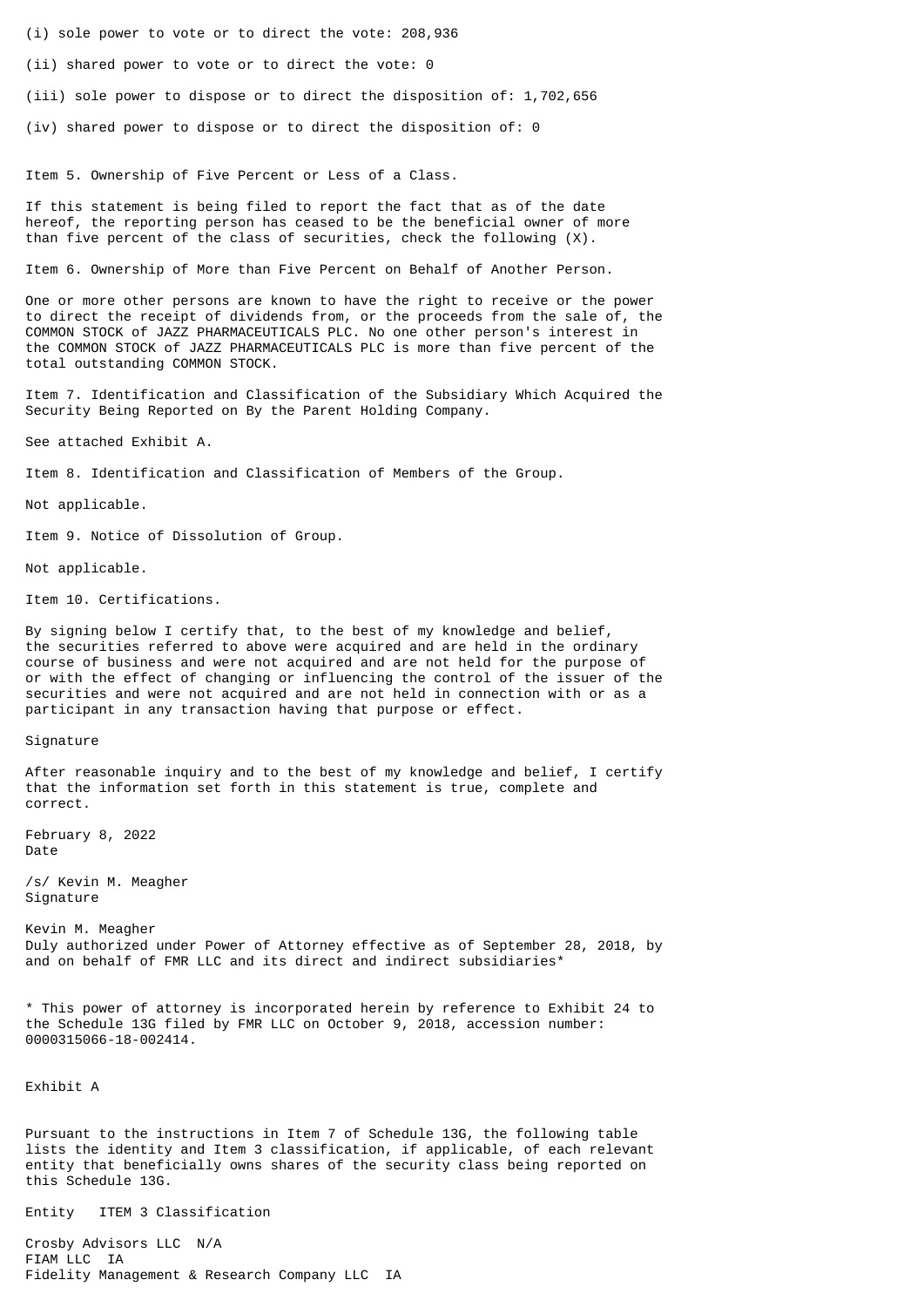- (i) sole power to vote or to direct the vote: 208,936
- (ii) shared power to vote or to direct the vote: 0
- (iii) sole power to dispose or to direct the disposition of: 1,702,656
- (iv) shared power to dispose or to direct the disposition of: 0

Item 5. Ownership of Five Percent or Less of a Class.

If this statement is being filed to report the fact that as of the date hereof, the reporting person has ceased to be the beneficial owner of more than five percent of the class of securities, check the following (X).

Item 6. Ownership of More than Five Percent on Behalf of Another Person.

One or more other persons are known to have the right to receive or the power to direct the receipt of dividends from, or the proceeds from the sale of, the COMMON STOCK of JAZZ PHARMACEUTICALS PLC. No one other person's interest in the COMMON STOCK of JAZZ PHARMACEUTICALS PLC is more than five percent of the total outstanding COMMON STOCK.

Item 7. Identification and Classification of the Subsidiary Which Acquired the Security Being Reported on By the Parent Holding Company.

See attached Exhibit A.

Item 8. Identification and Classification of Members of the Group.

Not applicable.

Item 9. Notice of Dissolution of Group.

Not applicable.

Item 10. Certifications.

By signing below I certify that, to the best of my knowledge and belief, the securities referred to above were acquired and are held in the ordinary course of business and were not acquired and are not held for the purpose of or with the effect of changing or influencing the control of the issuer of the securities and were not acquired and are not held in connection with or as a participant in any transaction having that purpose or effect.

## Signature

After reasonable inquiry and to the best of my knowledge and belief, I certify that the information set forth in this statement is true, complete and correct.

February 8, 2022 Date

/s/ Kevin M. Meagher Signature

Kevin M. Meagher Duly authorized under Power of Attorney effective as of September 28, 2018, by and on behalf of FMR LLC and its direct and indirect subsidiaries\*

\* This power of attorney is incorporated herein by reference to Exhibit 24 to the Schedule 13G filed by FMR LLC on October 9, 2018, accession number: 0000315066-18-002414.

Exhibit A

Pursuant to the instructions in Item 7 of Schedule 13G, the following table lists the identity and Item 3 classification, if applicable, of each relevant entity that beneficially owns shares of the security class being reported on this Schedule 13G.

Entity ITEM 3 Classification

Crosby Advisors LLC N/A FIAM LLC IA Fidelity Management & Research Company LLC IA